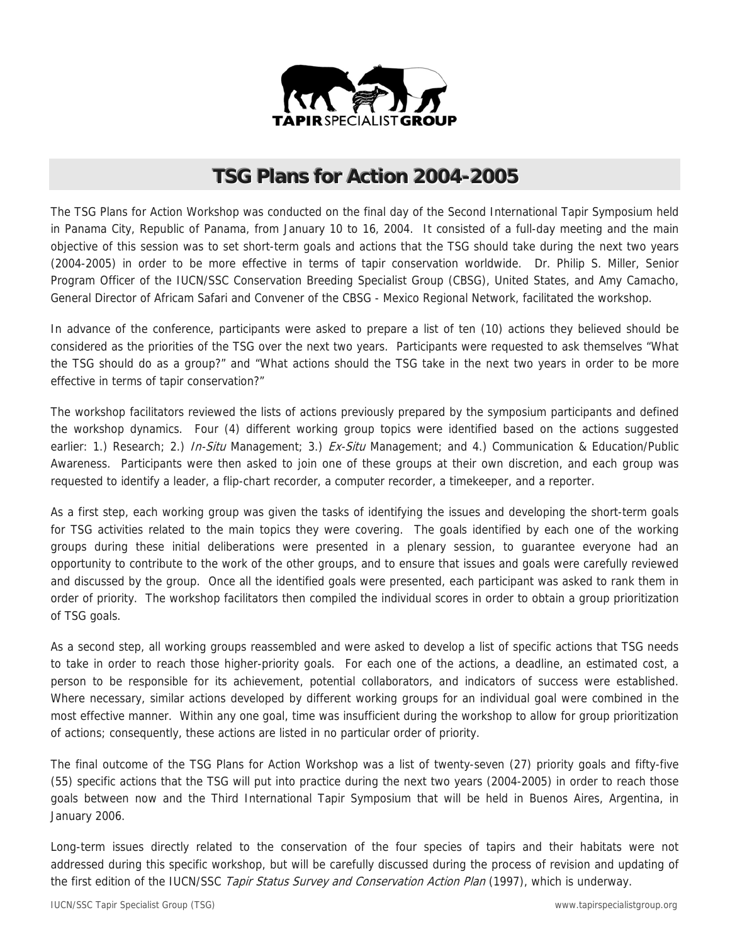

# **TSG Plans for Action 2004-2005**

The TSG Plans for Action Workshop was conducted on the final day of the Second International Tapir Symposium held in Panama City, Republic of Panama, from January 10 to 16, 2004. It consisted of a full-day meeting and the main objective of this session was to set short-term goals and actions that the TSG should take during the next two years (2004-2005) in order to be more effective in terms of tapir conservation worldwide. Dr. Philip S. Miller, Senior Program Officer of the IUCN/SSC Conservation Breeding Specialist Group (CBSG), United States, and Amy Camacho, General Director of Africam Safari and Convener of the CBSG - Mexico Regional Network, facilitated the workshop.

In advance of the conference, participants were asked to prepare a list of ten (10) actions they believed should be considered as the priorities of the TSG over the next two years. Participants were requested to ask themselves "What the TSG should do as a group?" and "What actions should the TSG take in the next two years in order to be more effective in terms of tapir conservation?"

The workshop facilitators reviewed the lists of actions previously prepared by the symposium participants and defined the workshop dynamics. Four (4) different working group topics were identified based on the actions suggested earlier: 1.) Research; 2.) In-Situ Management; 3.) Ex-Situ Management; and 4.) Communication & Education/Public Awareness. Participants were then asked to join one of these groups at their own discretion, and each group was requested to identify a leader, a flip-chart recorder, a computer recorder, a timekeeper, and a reporter.

As a first step, each working group was given the tasks of identifying the issues and developing the short-term goals for TSG activities related to the main topics they were covering. The goals identified by each one of the working groups during these initial deliberations were presented in a plenary session, to guarantee everyone had an opportunity to contribute to the work of the other groups, and to ensure that issues and goals were carefully reviewed and discussed by the group. Once all the identified goals were presented, each participant was asked to rank them in order of priority. The workshop facilitators then compiled the individual scores in order to obtain a group prioritization of TSG goals.

As a second step, all working groups reassembled and were asked to develop a list of specific actions that TSG needs to take in order to reach those higher-priority goals. For each one of the actions, a deadline, an estimated cost, a person to be responsible for its achievement, potential collaborators, and indicators of success were established. Where necessary, similar actions developed by different working groups for an individual goal were combined in the most effective manner. Within any one goal, time was insufficient during the workshop to allow for group prioritization of actions; consequently, these actions are listed in no particular order of priority.

The final outcome of the TSG Plans for Action Workshop was a list of twenty-seven (27) priority goals and fifty-five (55) specific actions that the TSG will put into practice during the next two years (2004-2005) in order to reach those goals between now and the Third International Tapir Symposium that will be held in Buenos Aires, Argentina, in January 2006.

Long-term issues directly related to the conservation of the four species of tapirs and their habitats were not addressed during this specific workshop, but will be carefully discussed during the process of revision and updating of the first edition of the IUCN/SSC Tapir Status Survey and Conservation Action Plan (1997), which is underway.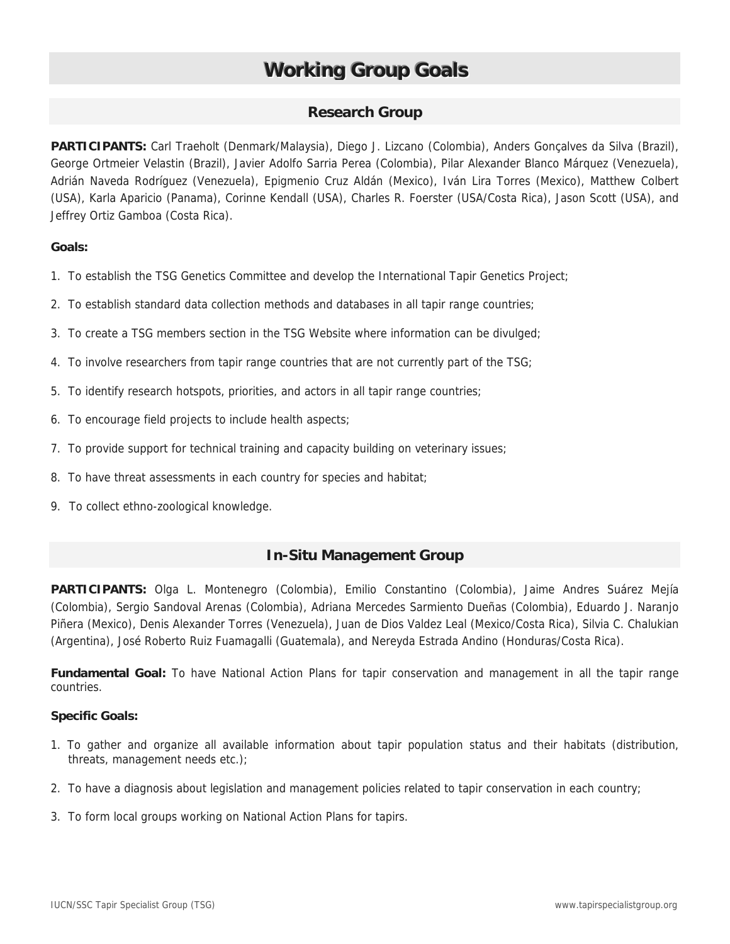# **Working Group Goals**

# **Research Group**

**PARTICIPANTS:** Carl Traeholt (Denmark/Malaysia), Diego J. Lizcano (Colombia), Anders Gonçalves da Silva (Brazil), George Ortmeier Velastin (Brazil), Javier Adolfo Sarria Perea (Colombia), Pilar Alexander Blanco Márquez (Venezuela), Adrián Naveda Rodríguez (Venezuela), Epigmenio Cruz Aldán (Mexico), Iván Lira Torres (Mexico), Matthew Colbert (USA), Karla Aparicio (Panama), Corinne Kendall (USA), Charles R. Foerster (USA/Costa Rica), Jason Scott (USA), and Jeffrey Ortiz Gamboa (Costa Rica).

### **Goals:**

- 1. To establish the TSG Genetics Committee and develop the International Tapir Genetics Project;
- 2. To establish standard data collection methods and databases in all tapir range countries;
- 3. To create a TSG members section in the TSG Website where information can be divulged;
- 4. To involve researchers from tapir range countries that are not currently part of the TSG;
- 5. To identify research hotspots, priorities, and actors in all tapir range countries;
- 6. To encourage field projects to include health aspects;
- 7. To provide support for technical training and capacity building on veterinary issues;
- 8. To have threat assessments in each country for species and habitat;
- 9. To collect ethno-zoological knowledge.

# **In-Situ Management Group**

**PARTICIPANTS:** Olga L. Montenegro (Colombia), Emilio Constantino (Colombia), Jaime Andres Suárez Mejía (Colombia), Sergio Sandoval Arenas (Colombia), Adriana Mercedes Sarmiento Dueñas (Colombia), Eduardo J. Naranjo Piñera (Mexico), Denis Alexander Torres (Venezuela), Juan de Dios Valdez Leal (Mexico/Costa Rica), Silvia C. Chalukian (Argentina), José Roberto Ruiz Fuamagalli (Guatemala), and Nereyda Estrada Andino (Honduras/Costa Rica).

**Fundamental Goal:** To have National Action Plans for tapir conservation and management in all the tapir range countries.

### **Specific Goals:**

- 1. To gather and organize all available information about tapir population status and their habitats (distribution, threats, management needs etc.);
- 2. To have a diagnosis about legislation and management policies related to tapir conservation in each country;
- 3. To form local groups working on National Action Plans for tapirs.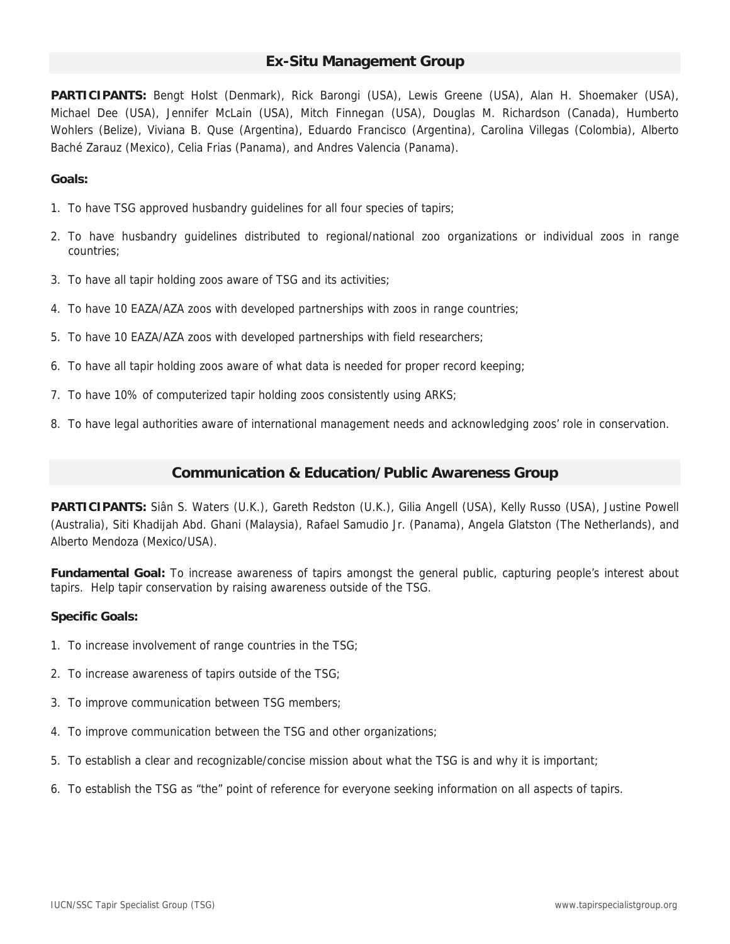# **Ex-Situ Management Group**

**PARTICIPANTS:** Bengt Holst (Denmark), Rick Barongi (USA), Lewis Greene (USA), Alan H. Shoemaker (USA), Michael Dee (USA), Jennifer McLain (USA), Mitch Finnegan (USA), Douglas M. Richardson (Canada), Humberto Wohlers (Belize), Viviana B. Quse (Argentina), Eduardo Francisco (Argentina), Carolina Villegas (Colombia), Alberto Baché Zarauz (Mexico), Celia Frias (Panama), and Andres Valencia (Panama).

#### **Goals:**

- 1. To have TSG approved husbandry guidelines for all four species of tapirs;
- 2. To have husbandry guidelines distributed to regional/national zoo organizations or individual zoos in range countries;
- 3. To have all tapir holding zoos aware of TSG and its activities;
- 4. To have 10 EAZA/AZA zoos with developed partnerships with zoos in range countries;
- 5. To have 10 EAZA/AZA zoos with developed partnerships with field researchers;
- 6. To have all tapir holding zoos aware of what data is needed for proper record keeping;
- 7. To have 10% of computerized tapir holding zoos consistently using ARKS;
- 8. To have legal authorities aware of international management needs and acknowledging zoos' role in conservation.

#### **Communication & Education/Public Awareness Group**

**PARTICIPANTS:** Siân S. Waters (U.K.), Gareth Redston (U.K.), Gilia Angell (USA), Kelly Russo (USA), Justine Powell (Australia), Siti Khadijah Abd. Ghani (Malaysia), Rafael Samudio Jr. (Panama), Angela Glatston (The Netherlands), and Alberto Mendoza (Mexico/USA).

**Fundamental Goal:** To increase awareness of tapirs amongst the general public, capturing people's interest about tapirs. Help tapir conservation by raising awareness outside of the TSG.

#### **Specific Goals:**

- 1. To increase involvement of range countries in the TSG;
- 2. To increase awareness of tapirs outside of the TSG;
- 3. To improve communication between TSG members;
- 4. To improve communication between the TSG and other organizations;
- 5. To establish a clear and recognizable/concise mission about what the TSG is and why it is important;
- 6. To establish the TSG as "the" point of reference for everyone seeking information on all aspects of tapirs.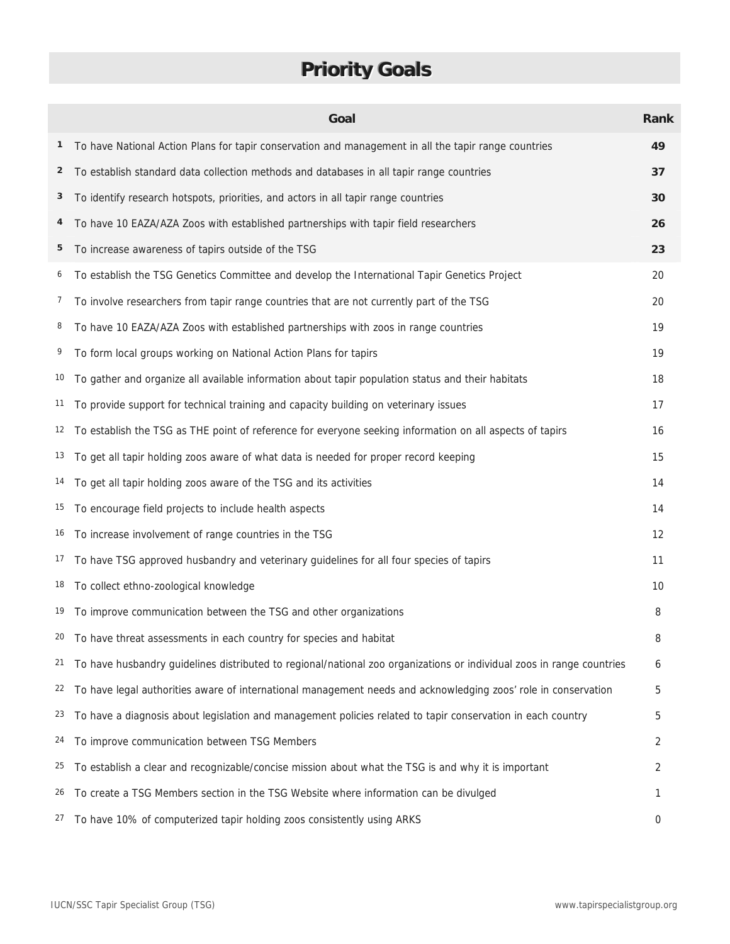# **Priority Goals**

|                | Goal                                                                                                                  | <b>Rank</b> |
|----------------|-----------------------------------------------------------------------------------------------------------------------|-------------|
| 1              | To have National Action Plans for tapir conservation and management in all the tapir range countries                  | 49          |
| $\overline{2}$ | To establish standard data collection methods and databases in all tapir range countries                              | 37          |
| 3              | To identify research hotspots, priorities, and actors in all tapir range countries                                    | 30          |
| 4              | To have 10 EAZA/AZA Zoos with established partnerships with tapir field researchers                                   | 26          |
| 5              | To increase awareness of tapirs outside of the TSG                                                                    | 23          |
| 6              | To establish the TSG Genetics Committee and develop the International Tapir Genetics Project                          | 20          |
| 7              | To involve researchers from tapir range countries that are not currently part of the TSG                              | 20          |
| 8              | To have 10 EAZA/AZA Zoos with established partnerships with zoos in range countries                                   | 19          |
| 9              | To form local groups working on National Action Plans for tapirs                                                      | 19          |
| 10             | To gather and organize all available information about tapir population status and their habitats                     | 18          |
| 11             | To provide support for technical training and capacity building on veterinary issues                                  | 17          |
| 12             | To establish the TSG as THE point of reference for everyone seeking information on all aspects of tapirs              | 16          |
| 13             | To get all tapir holding zoos aware of what data is needed for proper record keeping                                  | 15          |
| 14             | To get all tapir holding zoos aware of the TSG and its activities                                                     | 14          |
| 15             | To encourage field projects to include health aspects                                                                 | 14          |
| 16             | To increase involvement of range countries in the TSG                                                                 | 12          |
| 17             | To have TSG approved husbandry and veterinary guidelines for all four species of tapirs                               | 11          |
| 18             | To collect ethno-zoological knowledge                                                                                 | 10          |
| 19             | To improve communication between the TSG and other organizations                                                      | 8           |
|                | <sup>20</sup> To have threat assessments in each country for species and habitat                                      | 8           |
| 21             | To have husbandry guidelines distributed to regional/national zoo organizations or individual zoos in range countries | 6           |
| 22             | To have legal authorities aware of international management needs and acknowledging zoos' role in conservation        | 5           |
| 23             | To have a diagnosis about legislation and management policies related to tapir conservation in each country           | 5           |
| 24             | To improve communication between TSG Members                                                                          | 2           |
| 25             | To establish a clear and recognizable/concise mission about what the TSG is and why it is important                   | 2           |
| 26             | To create a TSG Members section in the TSG Website where information can be divulged                                  | 1           |
| 27             | To have 10% of computerized tapir holding zoos consistently using ARKS                                                | 0           |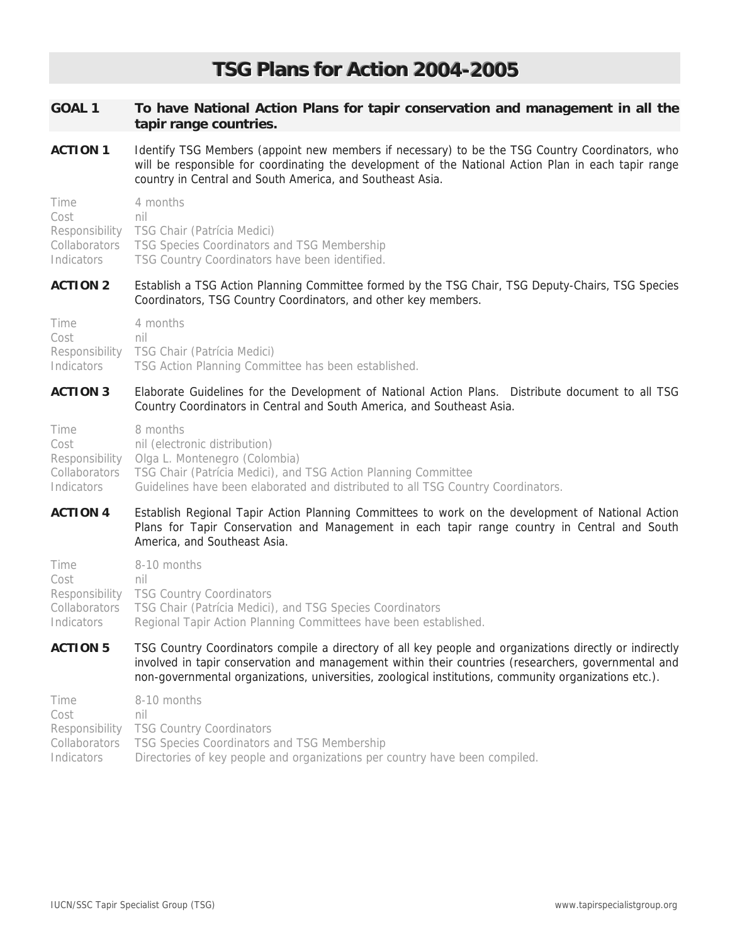# **TSG Plans for Action 2004-2005**

| <b>GOAL 1</b>   | To have National Action Plans for tapir conservation and management in all the<br>tapir range countries.                                                                                                                                                                                                                |
|-----------------|-------------------------------------------------------------------------------------------------------------------------------------------------------------------------------------------------------------------------------------------------------------------------------------------------------------------------|
| <b>ACTION 1</b> | Identify TSG Members (appoint new members if necessary) to be the TSG Country Coordinators, who<br>will be responsible for coordinating the development of the National Action Plan in each tapir range<br>country in Central and South America, and Southeast Asia.                                                    |
| Time            | 4 months                                                                                                                                                                                                                                                                                                                |
| Cost            | nil                                                                                                                                                                                                                                                                                                                     |
| Responsibility  | TSG Chair (Patrícia Medici)                                                                                                                                                                                                                                                                                             |
| Collaborators   | TSG Species Coordinators and TSG Membership                                                                                                                                                                                                                                                                             |
| Indicators      | TSG Country Coordinators have been identified.                                                                                                                                                                                                                                                                          |
| <b>ACTION 2</b> | Establish a TSG Action Planning Committee formed by the TSG Chair, TSG Deputy-Chairs, TSG Species<br>Coordinators, TSG Country Coordinators, and other key members.                                                                                                                                                     |
| Time            | 4 months                                                                                                                                                                                                                                                                                                                |
| Cost            | nil                                                                                                                                                                                                                                                                                                                     |
| Responsibility  | TSG Chair (Patrícia Medici)                                                                                                                                                                                                                                                                                             |
| Indicators      | TSG Action Planning Committee has been established.                                                                                                                                                                                                                                                                     |
| <b>ACTION 3</b> | Elaborate Guidelines for the Development of National Action Plans. Distribute document to all TSG<br>Country Coordinators in Central and South America, and Southeast Asia.                                                                                                                                             |
| Time            | 8 months                                                                                                                                                                                                                                                                                                                |
| Cost            | nil (electronic distribution)                                                                                                                                                                                                                                                                                           |
| Responsibility  | Olga L. Montenegro (Colombia)                                                                                                                                                                                                                                                                                           |
| Collaborators   | TSG Chair (Patrícia Medici), and TSG Action Planning Committee                                                                                                                                                                                                                                                          |
| Indicators      | Guidelines have been elaborated and distributed to all TSG Country Coordinators.                                                                                                                                                                                                                                        |
| <b>ACTION 4</b> | Establish Regional Tapir Action Planning Committees to work on the development of National Action<br>Plans for Tapir Conservation and Management in each tapir range country in Central and South<br>America, and Southeast Asia.                                                                                       |
| Time            | 8-10 months                                                                                                                                                                                                                                                                                                             |
| Cost            | nil                                                                                                                                                                                                                                                                                                                     |
| Responsibility  | <b>TSG Country Coordinators</b>                                                                                                                                                                                                                                                                                         |
| Collaborators   | TSG Chair (Patrícia Medici), and TSG Species Coordinators                                                                                                                                                                                                                                                               |
| Indicators      | Regional Tapir Action Planning Committees have been established.                                                                                                                                                                                                                                                        |
| <b>ACTION 5</b> | TSG Country Coordinators compile a directory of all key people and organizations directly or indirectly<br>involved in tapir conservation and management within their countries (researchers, governmental and<br>non-governmental organizations, universities, zoological institutions, community organizations etc.). |
| Time            | 8-10 months                                                                                                                                                                                                                                                                                                             |
| Cost            | nil                                                                                                                                                                                                                                                                                                                     |
| Responsibility  | <b>TSG Country Coordinators</b>                                                                                                                                                                                                                                                                                         |
| Collaborators   | TSG Species Coordinators and TSG Membership                                                                                                                                                                                                                                                                             |
| Indicators      | Directories of key people and organizations per country have been compiled.                                                                                                                                                                                                                                             |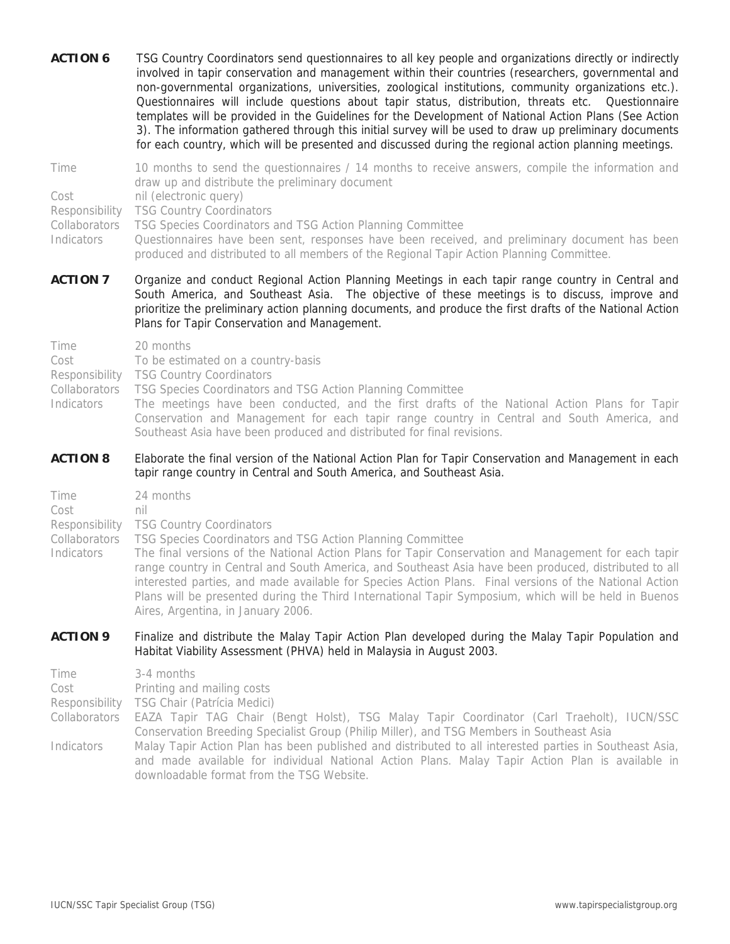**ACTION 6** TSG Country Coordinators send questionnaires to all key people and organizations directly or indirectly involved in tapir conservation and management within their countries (researchers, governmental and non-governmental organizations, universities, zoological institutions, community organizations etc.). Questionnaires will include questions about tapir status, distribution, threats etc. Questionnaire templates will be provided in the Guidelines for the Development of National Action Plans (See Action 3). The information gathered through this initial survey will be used to draw up preliminary documents for each country, which will be presented and discussed during the regional action planning meetings.

Time 10 months to send the questionnaires / 14 months to receive answers, compile the information and draw up and distribute the preliminary document

Cost nil (electronic query)

Responsibility TSG Country Coordinators

Collaborators TSG Species Coordinators and TSG Action Planning Committee

Indicators Questionnaires have been sent, responses have been received, and preliminary document has been produced and distributed to all members of the Regional Tapir Action Planning Committee.

#### **ACTION 7** Organize and conduct Regional Action Planning Meetings in each tapir range country in Central and South America, and Southeast Asia. The objective of these meetings is to discuss, improve and prioritize the preliminary action planning documents, and produce the first drafts of the National Action Plans for Tapir Conservation and Management.

Cost To be estimated on a country-basis

- Responsibility TSG Country Coordinators
- Collaborators TSG Species Coordinators and TSG Action Planning Committee

Aires, Argentina, in January 2006.

Indicators The meetings have been conducted, and the first drafts of the National Action Plans for Tapir Conservation and Management for each tapir range country in Central and South America, and Southeast Asia have been produced and distributed for final revisions.

#### **ACTION 8** Elaborate the final version of the National Action Plan for Tapir Conservation and Management in each tapir range country in Central and South America, and Southeast Asia.

Time 24 months Cost nil Responsibility TSG Country Coordinators Collaborators TSG Species Coordinators and TSG Action Planning Committee Indicators The final versions of the National Action Plans for Tapir Conservation and Management for each tapir range country in Central and South America, and Southeast Asia have been produced, distributed to all interested parties, and made available for Species Action Plans. Final versions of the National Action

# **ACTION 9** Finalize and distribute the Malay Tapir Action Plan developed during the Malay Tapir Population and Habitat Viability Assessment (PHVA) held in Malaysia in August 2003.

Plans will be presented during the Third International Tapir Symposium, which will be held in Buenos

Time 3-4 months Cost Printing and mailing costs Responsibility TSG Chair (Patrícia Medici) Collaborators EAZA Tapir TAG Chair (Bengt Holst), TSG Malay Tapir Coordinator (Carl Traeholt), IUCN/SSC Conservation Breeding Specialist Group (Philip Miller), and TSG Members in Southeast Asia Indicators Malay Tapir Action Plan has been published and distributed to all interested parties in Southeast Asia, and made available for individual National Action Plans. Malay Tapir Action Plan is available in downloadable format from the TSG Website.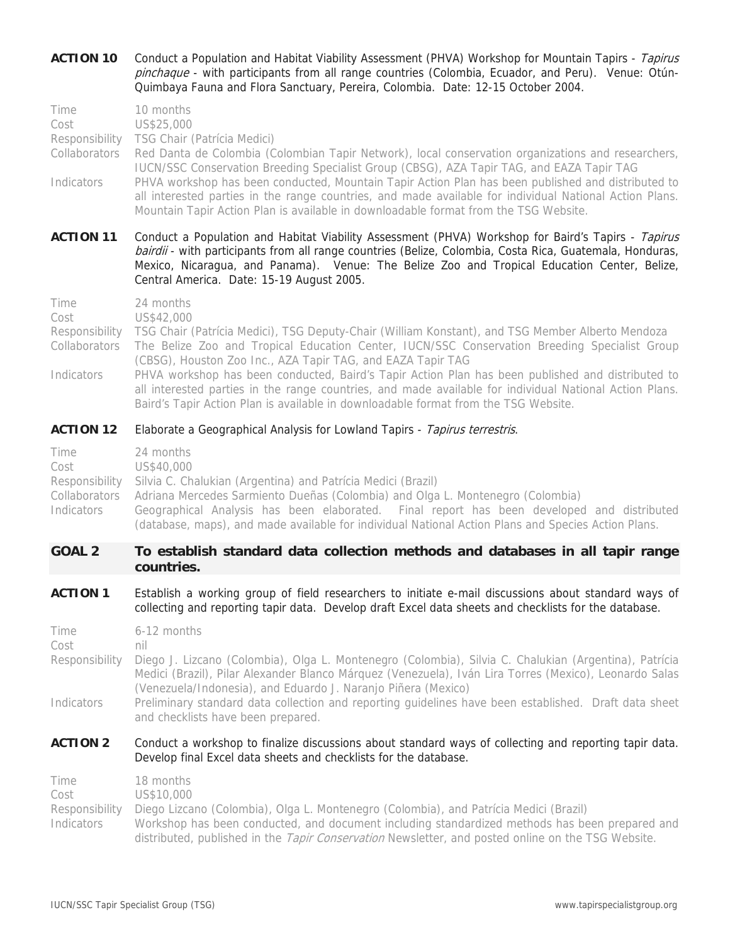| <b>ACTION 10</b>                                              | Conduct a Population and Habitat Viability Assessment (PHVA) Workshop for Mountain Tapirs - Tapirus<br>pinchaque - with participants from all range countries (Colombia, Ecuador, and Peru). Venue: Otún-<br>Quimbaya Fauna and Flora Sanctuary, Pereira, Colombia. Date: 12-15 October 2004.                                                                                                                                                                                                                                                                                                      |
|---------------------------------------------------------------|----------------------------------------------------------------------------------------------------------------------------------------------------------------------------------------------------------------------------------------------------------------------------------------------------------------------------------------------------------------------------------------------------------------------------------------------------------------------------------------------------------------------------------------------------------------------------------------------------|
| Time<br>Cost<br>Responsibility<br>Collaborators<br>Indicators | 10 months<br>US\$25,000<br>TSG Chair (Patrícia Medici)<br>Red Danta de Colombia (Colombian Tapir Network), local conservation organizations and researchers,<br>IUCN/SSC Conservation Breeding Specialist Group (CBSG), AZA Tapir TAG, and EAZA Tapir TAG<br>PHVA workshop has been conducted, Mountain Tapir Action Plan has been published and distributed to<br>all interested parties in the range countries, and made available for individual National Action Plans.<br>Mountain Tapir Action Plan is available in downloadable format from the TSG Website.                                 |
| <b>ACTION 11</b>                                              | Conduct a Population and Habitat Viability Assessment (PHVA) Workshop for Baird's Tapirs - Tapirus<br>bairdii - with participants from all range countries (Belize, Colombia, Costa Rica, Guatemala, Honduras,<br>Mexico, Nicaragua, and Panama). Venue: The Belize Zoo and Tropical Education Center, Belize,<br>Central America. Date: 15-19 August 2005.                                                                                                                                                                                                                                        |
| Time<br>Cost<br>Responsibility<br>Collaborators<br>Indicators | 24 months<br>US\$42,000<br>TSG Chair (Patrícia Medici), TSG Deputy-Chair (William Konstant), and TSG Member Alberto Mendoza<br>The Belize Zoo and Tropical Education Center, IUCN/SSC Conservation Breeding Specialist Group<br>(CBSG), Houston Zoo Inc., AZA Tapir TAG, and EAZA Tapir TAG<br>PHVA workshop has been conducted, Baird's Tapir Action Plan has been published and distributed to<br>all interested parties in the range countries, and made available for individual National Action Plans.<br>Baird's Tapir Action Plan is available in downloadable format from the TSG Website. |
| <b>ACTION 12</b>                                              | Elaborate a Geographical Analysis for Lowland Tapirs - Tapirus terrestris.                                                                                                                                                                                                                                                                                                                                                                                                                                                                                                                         |
| Time<br>Cost<br>Responsibility<br>Collaborators<br>Indicators | 24 months<br>US\$40,000<br>Silvia C. Chalukian (Argentina) and Patrícia Medici (Brazil)<br>Adriana Mercedes Sarmiento Dueñas (Colombia) and Olga L. Montenegro (Colombia)<br>Geographical Analysis has been elaborated. Final report has been developed and distributed<br>(database, maps), and made available for individual National Action Plans and Species Action Plans.                                                                                                                                                                                                                     |
| <b>GOAL 2</b>                                                 | To establish standard data collection methods and databases in all tapir range<br>countries.                                                                                                                                                                                                                                                                                                                                                                                                                                                                                                       |
| <b>ACTION 1</b>                                               | Establish a working group of field researchers to initiate e-mail discussions about standard ways of<br>collecting and reporting tapir data. Develop draft Excel data sheets and checklists for the database.                                                                                                                                                                                                                                                                                                                                                                                      |
| Time<br>Cost<br>Responsibility<br>Indicators                  | 6-12 months<br>nil<br>Diego J. Lizcano (Colombia), Olga L. Montenegro (Colombia), Silvia C. Chalukian (Argentina), Patrícia<br>Medici (Brazil), Pilar Alexander Blanco Márquez (Venezuela), Iván Lira Torres (Mexico), Leonardo Salas<br>(Venezuela/Indonesia), and Eduardo J. Naranjo Piñera (Mexico)<br>Preliminary standard data collection and reporting guidelines have been established. Draft data sheet<br>and checklists have been prepared.                                                                                                                                              |
| <b>ACTION 2</b>                                               | Conduct a workshop to finalize discussions about standard ways of collecting and reporting tapir data.<br>Develop final Excel data sheets and checklists for the database.                                                                                                                                                                                                                                                                                                                                                                                                                         |
| Time<br>Cost<br>Responsibility<br>Indicators                  | 18 months<br>US\$10,000<br>Diego Lizcano (Colombia), Olga L. Montenegro (Colombia), and Patrícia Medici (Brazil)<br>Workshop has been conducted, and document including standardized methods has been prepared and<br>distributed, published in the Tapir Conservation Newsletter, and posted online on the TSG Website.                                                                                                                                                                                                                                                                           |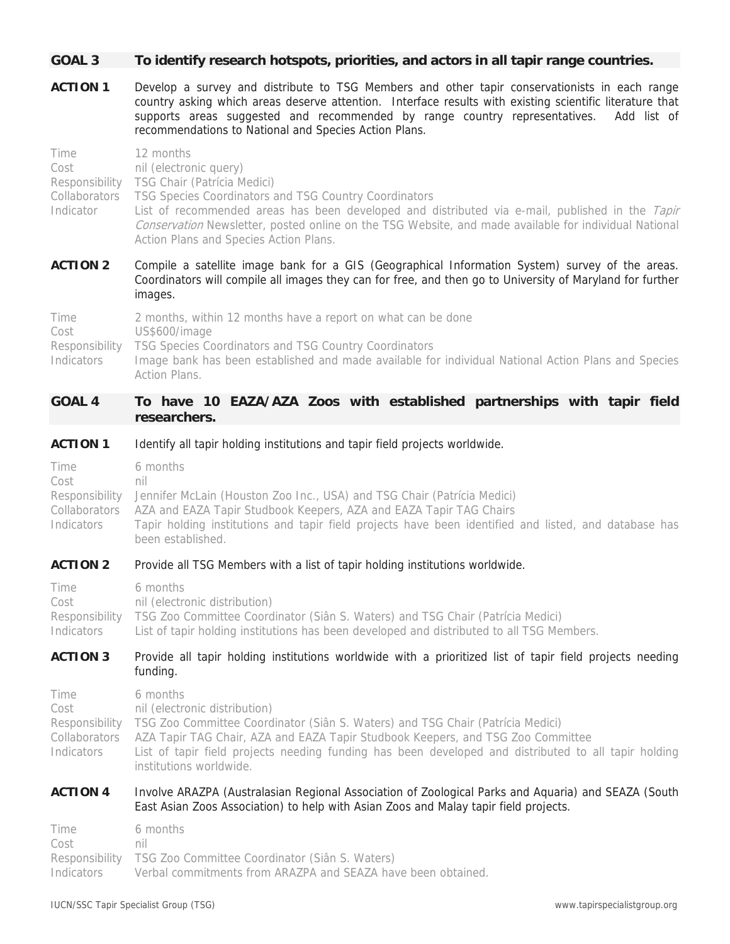#### **GOAL 3 To identify research hotspots, priorities, and actors in all tapir range countries.**

**ACTION 1** Develop a survey and distribute to TSG Members and other tapir conservationists in each range country asking which areas deserve attention. Interface results with existing scientific literature that supports areas suggested and recommended by range country representatives. Add list of recommendations to National and Species Action Plans.

| Time<br>Cost<br>Responsibility<br>Collaborators<br>Indicator | 12 months<br>nil (electronic query)<br><b>TSG Chair (Patrícia Medici)</b><br>TSG Species Coordinators and TSG Country Coordinators<br>List of recommended areas has been developed and distributed via e-mail, published in the Tapir<br>Conservation Newsletter, posted online on the TSG Website, and made available for individual National<br>Action Plans and Species Action Plans. |
|--------------------------------------------------------------|------------------------------------------------------------------------------------------------------------------------------------------------------------------------------------------------------------------------------------------------------------------------------------------------------------------------------------------------------------------------------------------|
| <b>ACTION 2</b>                                              | Compile a satellite image bank for a GIS (Geographical Information System) survey of the areas.<br>Coordinators will compile all images they can for free, and then go to University of Maryland for further<br>images.                                                                                                                                                                  |
| Time<br>Cost<br>Responsibility<br>Indicators                 | 2 months, within 12 months have a report on what can be done<br>US\$600/image<br>TSG Species Coordinators and TSG Country Coordinators<br>Image bank has been established and made available for individual National Action Plans and Species<br>Action Plans.                                                                                                                           |

# **GOAL 4 To have 10 EAZA/AZA Zoos with established partnerships with tapir field researchers.**

#### **ACTION 1** Identify all tapir holding institutions and tapir field projects worldwide.

| Time       | 6 months                                                                                              |
|------------|-------------------------------------------------------------------------------------------------------|
| Cost       | nil                                                                                                   |
|            | Responsibility Jennifer McLain (Houston Zoo Inc., USA) and TSG Chair (Patrícia Medici)                |
|            | Collaborators AZA and EAZA Tapir Studbook Keepers, AZA and EAZA Tapir TAG Chairs                      |
| Indicators | Tapir holding institutions and tapir field projects have been identified and listed, and database has |
|            | been established.                                                                                     |

#### **ACTION 2** Provide all TSG Members with a list of tapir holding institutions worldwide.

| Time       | 6 months                                                                                      |
|------------|-----------------------------------------------------------------------------------------------|
| Cost       | nil (electronic distribution)                                                                 |
|            | Responsibility TSG Zoo Committee Coordinator (Siân S. Waters) and TSG Chair (Patrícia Medici) |
| Indicators | List of tapir holding institutions has been developed and distributed to all TSG Members.     |
|            |                                                                                               |

#### **ACTION 3** Provide all tapir holding institutions worldwide with a prioritized list of tapir field projects needing funding.

| Time<br>Cost | 6 months<br>nil (electronic distribution)<br>Responsibility TSG Zoo Committee Coordinator (Siân S. Waters) and TSG Chair (Patrícia Medici)<br>Collaborators AZA Tapir TAG Chair, AZA and EAZA Tapir Studbook Keepers, and TSG Zoo Committee |
|--------------|---------------------------------------------------------------------------------------------------------------------------------------------------------------------------------------------------------------------------------------------|
| Indicators   | List of tapir field projects needing funding has been developed and distributed to all tapir holding<br>institutions worldwide.                                                                                                             |

#### **ACTION 4** Involve ARAZPA (Australasian Regional Association of Zoological Parks and Aquaria) and SEAZA (South East Asian Zoos Association) to help with Asian Zoos and Malay tapir field projects.

| Time       | 6 months                                                      |
|------------|---------------------------------------------------------------|
| Cost       | nil                                                           |
|            | Responsibility TSG Zoo Committee Coordinator (Siân S. Waters) |
| Indicators | Verbal commitments from ARAZPA and SEAZA have been obtained.  |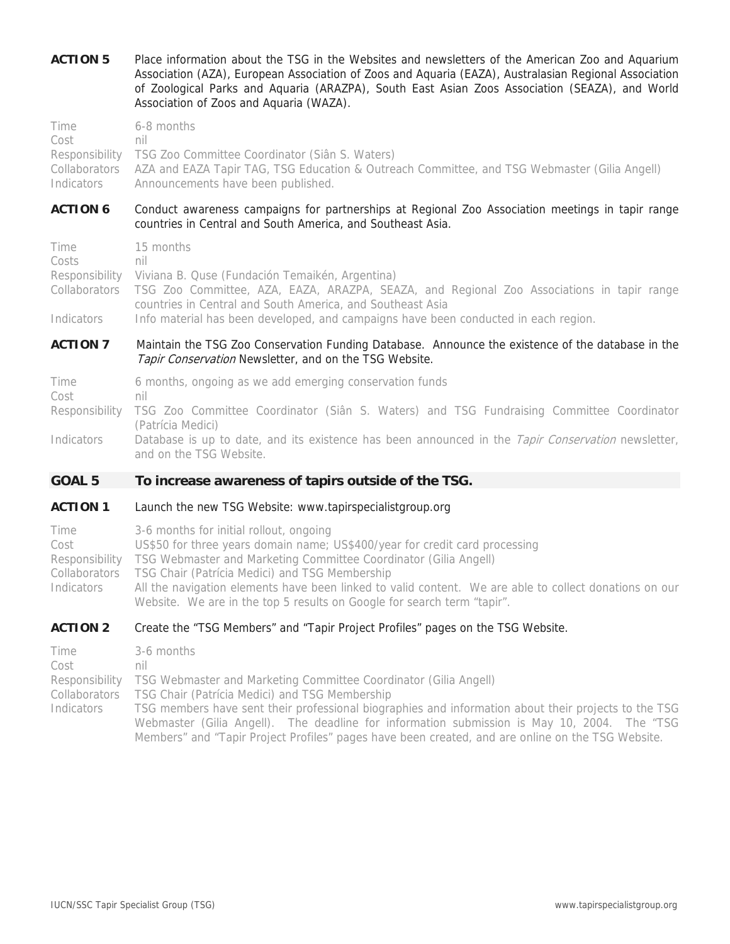**ACTION 5** Place information about the TSG in the Websites and newsletters of the American Zoo and Aquarium Association (AZA), European Association of Zoos and Aquaria (EAZA), Australasian Regional Association of Zoological Parks and Aquaria (ARAZPA), South East Asian Zoos Association (SEAZA), and World Association of Zoos and Aquaria (WAZA).

| Time       | 6-8 months                                                                                                 |
|------------|------------------------------------------------------------------------------------------------------------|
| Cost       | nil                                                                                                        |
|            | Responsibility TSG Zoo Committee Coordinator (Siân S. Waters)                                              |
|            | Collaborators AZA and EAZA Tapir TAG, TSG Education & Outreach Committee, and TSG Webmaster (Gilia Angell) |
| Indicators | Announcements have been published.                                                                         |

#### ACTION 6 Conduct awareness campaigns for partnerships at Regional Zoo Association meetings in tapir range countries in Central and South America, and Southeast Asia.

Time 15 months Costs nil Responsibility Viviana B. Quse (Fundación Temaikén, Argentina) Collaborators TSG Zoo Committee, AZA, EAZA, ARAZPA, SEAZA, and Regional Zoo Associations in tapir range countries in Central and South America, and Southeast Asia Indicators Info material has been developed, and campaigns have been conducted in each region.

### **ACTION 7** Maintain the TSG Zoo Conservation Funding Database. Announce the existence of the database in the Tapir Conservation Newsletter, and on the TSG Website.

Time 6 months, ongoing as we add emerging conservation funds Cost nil Responsibility TSG Zoo Committee Coordinator (Siân S. Waters) and TSG Fundraising Committee Coordinator (Patrícia Medici)

Indicators Database is up to date, and its existence has been announced in the Tapir Conservation newsletter, and on the TSG Website.

# **GOAL 5 To increase awareness of tapirs outside of the TSG.**

#### **ACTION 1** Launch the new TSG Website: www.tapirspecialistgroup.org

| Time       | 3-6 months for initial rollout, ongoing                                                                                                                                           |
|------------|-----------------------------------------------------------------------------------------------------------------------------------------------------------------------------------|
| Cost       | US\$50 for three years domain name; US\$400/year for credit card processing                                                                                                       |
|            | Responsibility TSG Webmaster and Marketing Committee Coordinator (Gilia Angell)                                                                                                   |
|            | Collaborators  TSG Chair (Patrícia Medici) and TSG Membership                                                                                                                     |
| Indicators | All the navigation elements have been linked to valid content. We are able to collect donations on our<br>Website. We are in the top 5 results on Google for search term "tapir". |

### **ACTION 2** Create the "TSG Members" and "Tapir Project Profiles" pages on the TSG Website.

| Time       | 3-6 months                                                                                           |
|------------|------------------------------------------------------------------------------------------------------|
| Cost       | nil                                                                                                  |
|            | Responsibility TSG Webmaster and Marketing Committee Coordinator (Gilia Angell)                      |
|            | Collaborators TSG Chair (Patrícia Medici) and TSG Membership                                         |
| Indicators | TSG members have sent their professional biographies and information about their projects to the TSG |
|            | Webmaster (Gilia Angell). The deadline for information submission is May 10, 2004. The "TSG          |
|            | Members" and "Tapir Project Profiles" pages have been created, and are online on the TSG Website.    |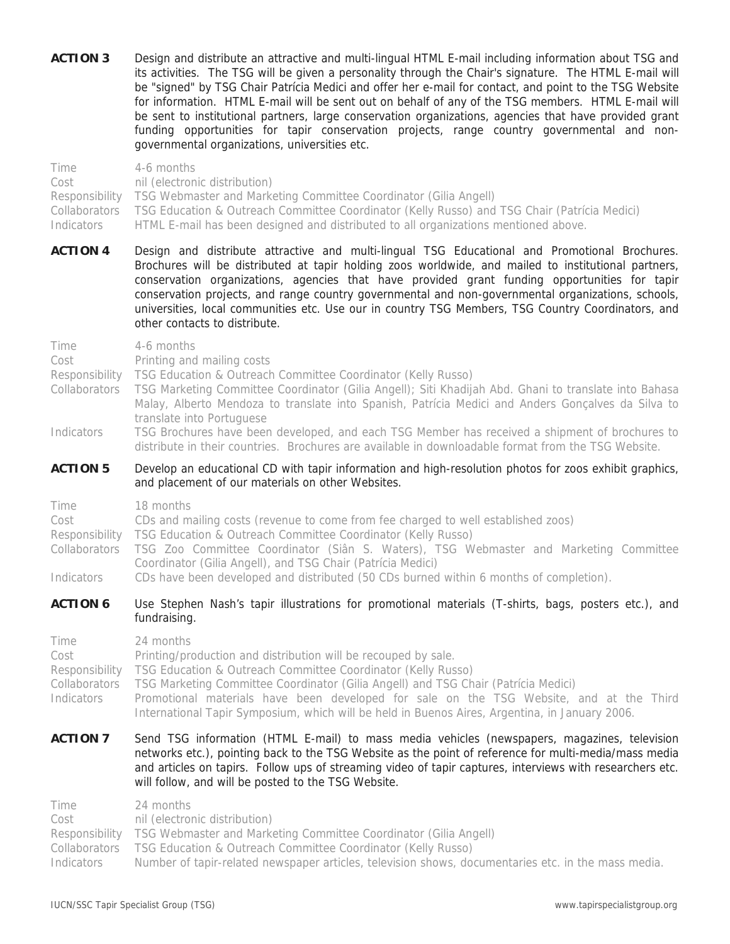**ACTION 3** Design and distribute an attractive and multi-lingual HTML E-mail including information about TSG and its activities. The TSG will be given a personality through the Chair's signature. The HTML E-mail will be "signed" by TSG Chair Patrícia Medici and offer her e-mail for contact, and point to the TSG Website for information. HTML E-mail will be sent out on behalf of any of the TSG members. HTML E-mail will be sent to institutional partners, large conservation organizations, agencies that have provided grant funding opportunities for tapir conservation projects, range country governmental and nongovernmental organizations, universities etc.

Time 4-6 months Cost nil (electronic distribution) Responsibility TSG Webmaster and Marketing Committee Coordinator (Gilia Angell) Collaborators TSG Education & Outreach Committee Coordinator (Kelly Russo) and TSG Chair (Patrícia Medici) Indicators HTML E-mail has been designed and distributed to all organizations mentioned above.

**ACTION 4** Design and distribute attractive and multi-lingual TSG Educational and Promotional Brochures. Brochures will be distributed at tapir holding zoos worldwide, and mailed to institutional partners, conservation organizations, agencies that have provided grant funding opportunities for tapir conservation projects, and range country governmental and non-governmental organizations, schools, universities, local communities etc. Use our in country TSG Members, TSG Country Coordinators, and other contacts to distribute.

Time 4-6 months Cost Printing and mailing costs Responsibility TSG Education & Outreach Committee Coordinator (Kelly Russo) Collaborators TSG Marketing Committee Coordinator (Gilia Angell); Siti Khadijah Abd. Ghani to translate into Bahasa Malay, Alberto Mendoza to translate into Spanish, Patrícia Medici and Anders Gonçalves da Silva to translate into Portuguese Indicators TSG Brochures have been developed, and each TSG Member has received a shipment of brochures to distribute in their countries. Brochures are available in downloadable format from the TSG Website. **ACTION 5** Develop an educational CD with tapir information and high-resolution photos for zoos exhibit graphics, and placement of our materials on other Websites. Time 18 months Cost CDs and mailing costs (revenue to come from fee charged to well established zoos) Responsibility TSG Education & Outreach Committee Coordinator (Kelly Russo) Collaborators TSG Zoo Committee Coordinator (Siân S. Waters), TSG Webmaster and Marketing Committee Coordinator (Gilia Angell), and TSG Chair (Patrícia Medici) Indicators CDs have been developed and distributed (50 CDs burned within 6 months of completion). **ACTION 6** Use Stephen Nash's tapir illustrations for promotional materials (T-shirts, bags, posters etc.), and fundraising. Time 24 months Cost Printing/production and distribution will be recouped by sale. Responsibility TSG Education & Outreach Committee Coordinator (Kelly Russo) Collaborators TSG Marketing Committee Coordinator (Gilia Angell) and TSG Chair (Patrícia Medici) Indicators Promotional materials have been developed for sale on the TSG Website, and at the Third International Tapir Symposium, which will be held in Buenos Aires, Argentina, in January 2006. **ACTION 7** Send TSG information (HTML E-mail) to mass media vehicles (newspapers, magazines, television networks etc.), pointing back to the TSG Website as the point of reference for multi-media/mass media and articles on tapirs. Follow ups of streaming video of tapir captures, interviews with researchers etc. will follow, and will be posted to the TSG Website. Time 24 months Cost nil (electronic distribution)

Collaborators TSG Education & Outreach Committee Coordinator (Kelly Russo)

Indicators Number of tapir-related newspaper articles, television shows, documentaries etc. in the mass media.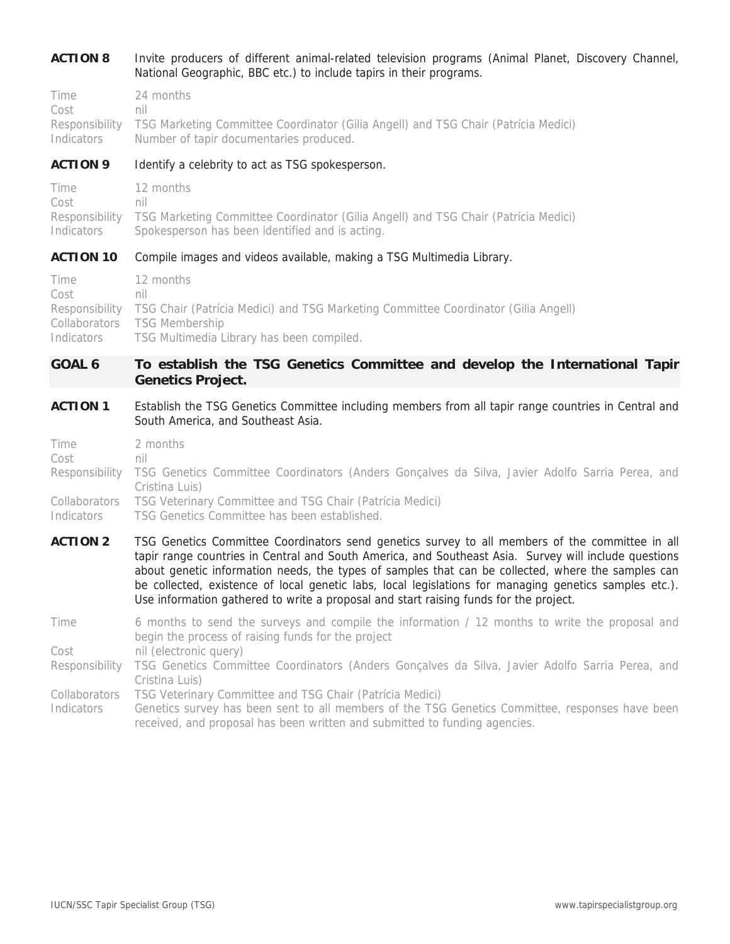# **ACTION 8** Invite producers of different animal-related television programs (Animal Planet, Discovery Channel, National Geographic, BBC etc.) to include tapirs in their programs.

Time 24 months Cost nil Responsibility TSG Marketing Committee Coordinator (Gilia Angell) and TSG Chair (Patrícia Medici) Indicators Number of tapir documentaries produced.

#### **ACTION 9** Identify a celebrity to act as TSG spokesperson.

| Time       | 12 months                                                                                         |
|------------|---------------------------------------------------------------------------------------------------|
| Cost       | nil                                                                                               |
|            | Responsibility TSG Marketing Committee Coordinator (Gilia Angell) and TSG Chair (Patrícia Medici) |
| Indicators | Spokesperson has been identified and is acting.                                                   |

#### **ACTION 10** Compile images and videos available, making a TSG Multimedia Library.

| Time       | 12 months                                                                                         |
|------------|---------------------------------------------------------------------------------------------------|
| Cost       | nil                                                                                               |
|            | Responsibility TSG Chair (Patrícia Medici) and TSG Marketing Committee Coordinator (Gilia Angell) |
|            | Collaborators TSG Membership                                                                      |
| Indicators | TSG Multimedia Library has been compiled.                                                         |

# **GOAL 6 To establish the TSG Genetics Committee and develop the International Tapir Genetics Project.**

ACTION 1 Establish the TSG Genetics Committee including members from all tapir range countries in Central and South America, and Southeast Asia.

| Time       | 2 months                                                                                                                         |
|------------|----------------------------------------------------------------------------------------------------------------------------------|
| Cost       | nıl                                                                                                                              |
|            | Responsibility TSG Genetics Committee Coordinators (Anders Gonçalves da Silva, Javier Adolfo Sarria Perea, and<br>Cristina Luis) |
|            |                                                                                                                                  |
|            | Collaborators TSG Veterinary Committee and TSG Chair (Patrícia Medici)                                                           |
| Indicators | TSG Genetics Committee has been established.                                                                                     |

**ACTION 2** TSG Genetics Committee Coordinators send genetics survey to all members of the committee in all tapir range countries in Central and South America, and Southeast Asia. Survey will include questions about genetic information needs, the types of samples that can be collected, where the samples can be collected, existence of local genetic labs, local legislations for managing genetics samples etc.). Use information gathered to write a proposal and start raising funds for the project.

Time 6 months to send the surveys and compile the information / 12 months to write the proposal and begin the process of raising funds for the project

Cost nil (electronic query)

Responsibility TSG Genetics Committee Coordinators (Anders Gonçalves da Silva, Javier Adolfo Sarria Perea, and Cristina Luis)

Collaborators TSG Veterinary Committee and TSG Chair (Patrícia Medici)

Indicators Genetics survey has been sent to all members of the TSG Genetics Committee, responses have been received, and proposal has been written and submitted to funding agencies.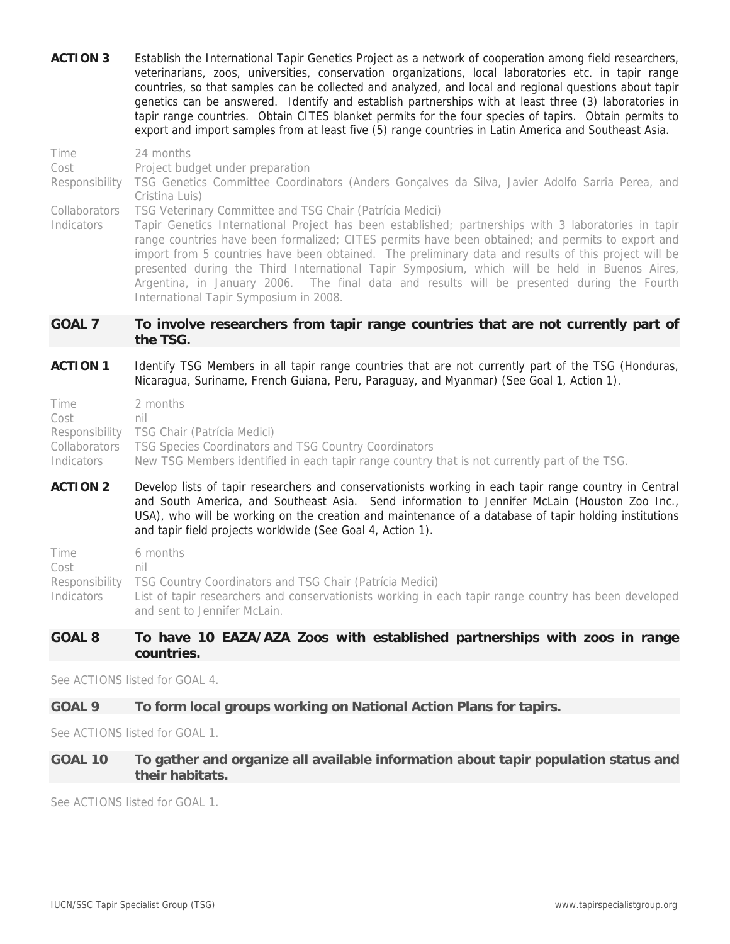- **ACTION 3** Establish the International Tapir Genetics Project as a network of cooperation among field researchers, veterinarians, zoos, universities, conservation organizations, local laboratories etc. in tapir range countries, so that samples can be collected and analyzed, and local and regional questions about tapir genetics can be answered. Identify and establish partnerships with at least three (3) laboratories in tapir range countries. Obtain CITES blanket permits for the four species of tapirs. Obtain permits to export and import samples from at least five (5) range countries in Latin America and Southeast Asia.
- Time 24 months Cost Project budget under preparation Responsibility TSG Genetics Committee Coordinators (Anders Gonçalves da Silva, Javier Adolfo Sarria Perea, and Cristina Luis) Collaborators TSG Veterinary Committee and TSG Chair (Patrícia Medici) Indicators Tapir Genetics International Project has been established; partnerships with 3 laboratories in tapir range countries have been formalized; CITES permits have been obtained; and permits to export and import from 5 countries have been obtained. The preliminary data and results of this project will be presented during the Third International Tapir Symposium, which will be held in Buenos Aires,

# **GOAL 7 To involve researchers from tapir range countries that are not currently part of the TSG.**

Argentina, in January 2006. The final data and results will be presented during the Fourth

**ACTION 1** Identify TSG Members in all tapir range countries that are not currently part of the TSG (Honduras, Nicaragua, Suriname, French Guiana, Peru, Paraguay, and Myanmar) (See Goal 1, Action 1).

| Time       | 2 months                                                                                      |
|------------|-----------------------------------------------------------------------------------------------|
| Cost       | nil                                                                                           |
|            | Responsibility TSG Chair (Patrícia Medici)                                                    |
|            | Collaborators TSG Species Coordinators and TSG Country Coordinators                           |
| Indicators | New TSG Members identified in each tapir range country that is not currently part of the TSG. |

International Tapir Symposium in 2008.

**ACTION 2** Develop lists of tapir researchers and conservationists working in each tapir range country in Central and South America, and Southeast Asia. Send information to Jennifer McLain (Houston Zoo Inc., USA), who will be working on the creation and maintenance of a database of tapir holding institutions and tapir field projects worldwide (See Goal 4, Action 1).

| Time       | 6 months                                                                                              |
|------------|-------------------------------------------------------------------------------------------------------|
| Cost       | nil                                                                                                   |
|            | Responsibility TSG Country Coordinators and TSG Chair (Patrícia Medici)                               |
| Indicators | List of tapir researchers and conservationists working in each tapir range country has been developed |
|            | and sent to Jennifer McLain.                                                                          |

# **GOAL 8 To have 10 EAZA/AZA Zoos with established partnerships with zoos in range countries.**

See ACTIONS listed for GOAL 4.

### **GOAL 9 To form local groups working on National Action Plans for tapirs.**

See ACTIONS listed for GOAL 1.

### **GOAL 10 To gather and organize all available information about tapir population status and their habitats.**

See ACTIONS listed for GOAL 1.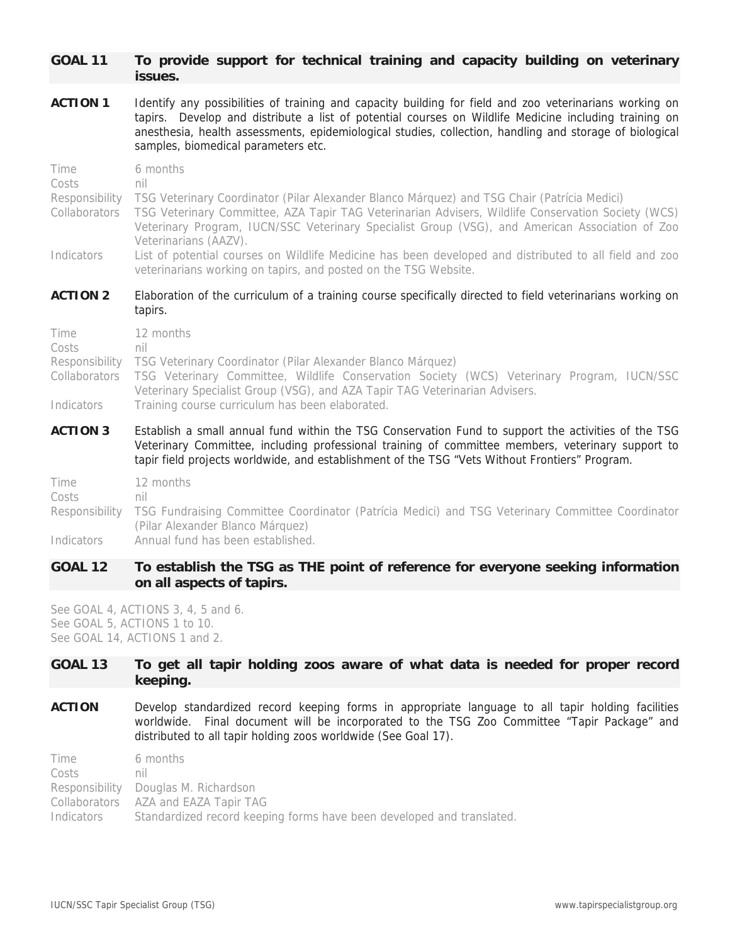# **GOAL 11 To provide support for technical training and capacity building on veterinary issues.**

**ACTION 1** Identify any possibilities of training and capacity building for field and zoo veterinarians working on tapirs. Develop and distribute a list of potential courses on Wildlife Medicine including training on anesthesia, health assessments, epidemiological studies, collection, handling and storage of biological samples, biomedical parameters etc.

| <b>ACTION 3</b>                                         | Establish a small annual fund within the TSG Conservation Fund to support the activities of the TSG                                                                                                                                                                                                                     |
|---------------------------------------------------------|-------------------------------------------------------------------------------------------------------------------------------------------------------------------------------------------------------------------------------------------------------------------------------------------------------------------------|
| Indicators                                              | Veterinary Specialist Group (VSG), and AZA Tapir TAG Veterinarian Advisers.<br>Training course curriculum has been elaborated.                                                                                                                                                                                          |
| Costs<br>Responsibility<br>Collaborators                | nil<br>TSG Veterinary Coordinator (Pilar Alexander Blanco Márquez)<br>TSG Veterinary Committee, Wildlife Conservation Society (WCS) Veterinary Program, IUCN/SSC                                                                                                                                                        |
| Time                                                    | 12 months                                                                                                                                                                                                                                                                                                               |
| <b>ACTION 2</b>                                         | Elaboration of the curriculum of a training course specifically directed to field veterinarians working on<br>tapirs.                                                                                                                                                                                                   |
| Indicators                                              | Veterinarians (AAZV).<br>List of potential courses on Wildlife Medicine has been developed and distributed to all field and zoo<br>veterinarians working on tapirs, and posted on the TSG Website.                                                                                                                      |
| Time<br>Costs<br>Responsibility<br><b>Collaborators</b> | 6 months<br>nil<br>TSG Veterinary Coordinator (Pilar Alexander Blanco Márquez) and TSG Chair (Patrícia Medici)<br>TSG Veterinary Committee, AZA Tapir TAG Veterinarian Advisers, Wildlife Conservation Society (WCS)<br>Veterinary Program, IUCN/SSC Veterinary Specialist Group (VSG), and American Association of Zoo |
|                                                         |                                                                                                                                                                                                                                                                                                                         |

Veterinary Committee, including professional training of committee members, veterinary support to tapir field projects worldwide, and establishment of the TSG "Vets Without Frontiers" Program. Time 12 months  $C_{\text{octr}}$ 

| UUSIS.     |                                                                                                                 |
|------------|-----------------------------------------------------------------------------------------------------------------|
|            | Responsibility TSG Fundraising Committee Coordinator (Patrícia Medici) and TSG Veterinary Committee Coordinator |
|            | (Pilar Alexander Blanco Márquez)                                                                                |
| Indicators | Annual fund has been established.                                                                               |

# **GOAL 12 To establish the TSG as THE point of reference for everyone seeking information on all aspects of tapirs.**

See GOAL 4, ACTIONS 3, 4, 5 and 6. See GOAL 5, ACTIONS 1 to 10. See GOAL 14, ACTIONS 1 and 2.

# **GOAL 13 To get all tapir holding zoos aware of what data is needed for proper record keeping.**

**ACTION** Develop standardized record keeping forms in appropriate language to all tapir holding facilities worldwide. Final document will be incorporated to the TSG Zoo Committee "Tapir Package" and distributed to all tapir holding zoos worldwide (See Goal 17).

Time 6 months Costs nil Responsibility Douglas M. Richardson Collaborators AZA and EAZA Tapir TAG Indicators Standardized record keeping forms have been developed and translated.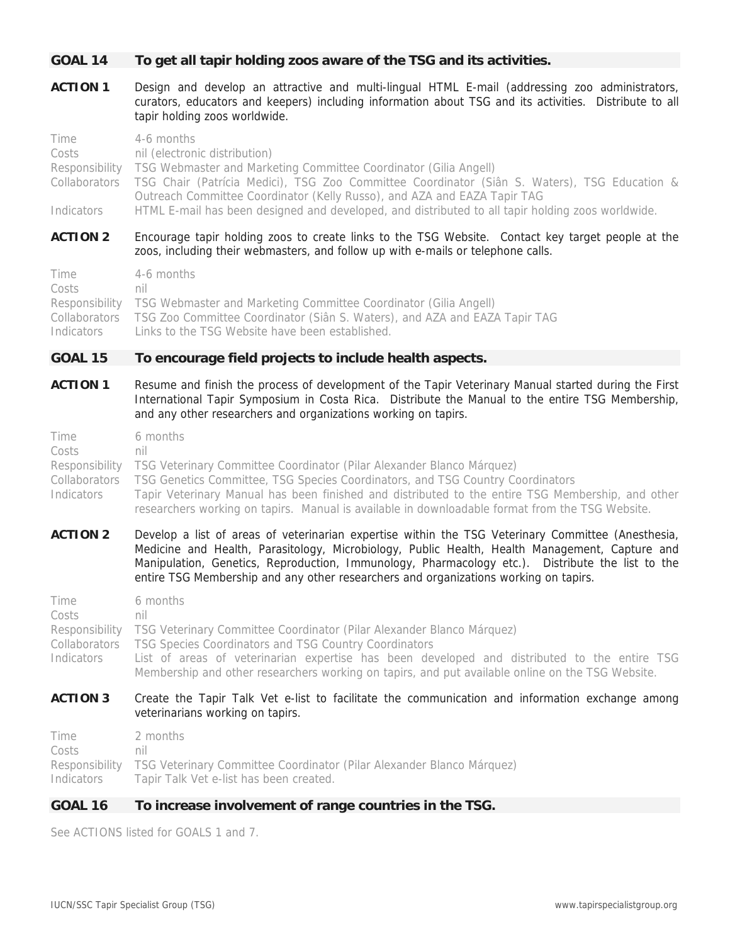# **GOAL 14 To get all tapir holding zoos aware of the TSG and its activities.**

**ACTION 1** Design and develop an attractive and multi-lingual HTML E-mail (addressing zoo administrators, curators, educators and keepers) including information about TSG and its activities. Distribute to all tapir holding zoos worldwide.

| Time       | 4-6 months                                                                                                 |
|------------|------------------------------------------------------------------------------------------------------------|
| Costs      | nil (electronic distribution)                                                                              |
|            | Responsibility TSG Webmaster and Marketing Committee Coordinator (Gilia Angell)                            |
|            | Collaborators TSG Chair (Patrícia Medici), TSG Zoo Committee Coordinator (Siân S. Waters), TSG Education & |
|            | Outreach Committee Coordinator (Kelly Russo), and AZA and EAZA Tapir TAG                                   |
| Indicators | HTML E-mail has been designed and developed, and distributed to all tapir holding zoos worldwide.          |
|            |                                                                                                            |

**ACTION 2** Encourage tapir holding zoos to create links to the TSG Website. Contact key target people at the zoos, including their webmasters, and follow up with e-mails or telephone calls.

| Time  | 4-6 months                                                                               |
|-------|------------------------------------------------------------------------------------------|
| Costs | nil                                                                                      |
|       | Responsibility TSG Webmaster and Marketing Committee Coordinator (Gilia Angell)          |
|       | Collaborators TSG Zoo Committee Coordinator (Siân S. Waters), and AZA and EAZA Tapir TAG |
|       | Indicators Links to the TSG Website have been established.                               |

#### **GOAL 15 To encourage field projects to include health aspects.**

**ACTION 1** Resume and finish the process of development of the Tapir Veterinary Manual started during the First International Tapir Symposium in Costa Rica. Distribute the Manual to the entire TSG Membership, and any other researchers and organizations working on tapirs.

| Time       | 6 months                                                                                          |
|------------|---------------------------------------------------------------------------------------------------|
| Costs      | nıl                                                                                               |
|            | Responsibility TSG Veterinary Committee Coordinator (Pilar Alexander Blanco Márquez)              |
|            | Collaborators TSG Genetics Committee, TSG Species Coordinators, and TSG Country Coordinators      |
| Indicators | Tapir Veterinary Manual has been finished and distributed to the entire TSG Membership, and other |
|            | researchers working on tapirs. Manual is available in downloadable format from the TSG Website.   |

**ACTION 2** Develop a list of areas of veterinarian expertise within the TSG Veterinary Committee (Anesthesia, Medicine and Health, Parasitology, Microbiology, Public Health, Health Management, Capture and Manipulation, Genetics, Reproduction, Immunology, Pharmacology etc.). Distribute the list to the entire TSG Membership and any other researchers and organizations working on tapirs.

| Time       | 6 months                                                                                         |
|------------|--------------------------------------------------------------------------------------------------|
| Costs      | nil                                                                                              |
|            | Responsibility TSG Veterinary Committee Coordinator (Pilar Alexander Blanco Márquez)             |
|            | Collaborators  TSG Species Coordinators and TSG Country Coordinators                             |
| Indicators | List of areas of veterinarian expertise has been developed and distributed to the entire TSG     |
|            | Membership and other researchers working on tapirs, and put available online on the TSG Website. |

#### **ACTION 3** Create the Tapir Talk Vet e-list to facilitate the communication and information exchange among veterinarians working on tapirs.

Time 2 months Costs nil Responsibility TSG Veterinary Committee Coordinator (Pilar Alexander Blanco Márquez) Indicators Tapir Talk Vet e-list has been created.

## **GOAL 16 To increase involvement of range countries in the TSG.**

See ACTIONS listed for GOALS 1 and 7.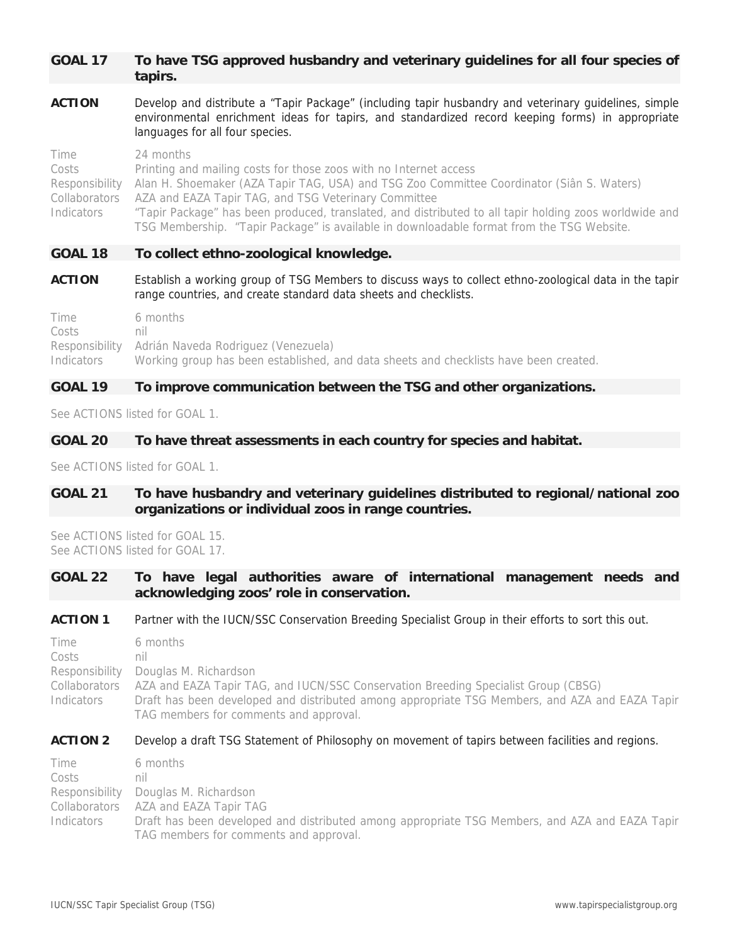# **GOAL 17 To have TSG approved husbandry and veterinary guidelines for all four species of tapirs.**

**ACTION** Develop and distribute a "Tapir Package" (including tapir husbandry and veterinary guidelines, simple environmental enrichment ideas for tapirs, and standardized record keeping forms) in appropriate languages for all four species.

Time 24 months Costs Printing and mailing costs for those zoos with no Internet access Responsibility Alan H. Shoemaker (AZA Tapir TAG, USA) and TSG Zoo Committee Coordinator (Siân S. Waters) Collaborators AZA and EAZA Tapir TAG, and TSG Veterinary Committee Indicators "Tapir Package" has been produced, translated, and distributed to all tapir holding zoos worldwide and TSG Membership. "Tapir Package" is available in downloadable format from the TSG Website.

#### **GOAL 18 To collect ethno-zoological knowledge.**

**ACTION** Establish a working group of TSG Members to discuss ways to collect ethno-zoological data in the tapir range countries, and create standard data sheets and checklists.

Time 6 months Costs nil Responsibility Adrián Naveda Rodriguez (Venezuela) Indicators Working group has been established, and data sheets and checklists have been created.

# **GOAL 19 To improve communication between the TSG and other organizations.**

See ACTIONS listed for GOAL 1.

#### **GOAL 20 To have threat assessments in each country for species and habitat.**

See ACTIONS listed for GOAL 1.

# **GOAL 21 To have husbandry and veterinary guidelines distributed to regional/national zoo organizations or individual zoos in range countries.**

See ACTIONS listed for GOAL 15. See ACTIONS listed for GOAL 17.

# **GOAL 22 To have legal authorities aware of international management needs and acknowledging zoos' role in conservation.**

#### **ACTION 1** Partner with the IUCN/SSC Conservation Breeding Specialist Group in their efforts to sort this out.

Time 6 months Costs nil Responsibility Douglas M. Richardson Collaborators AZA and EAZA Tapir TAG, and IUCN/SSC Conservation Breeding Specialist Group (CBSG) Indicators Draft has been developed and distributed among appropriate TSG Members, and AZA and EAZA Tapir TAG members for comments and approval.

#### ACTION 2 Develop a draft TSG Statement of Philosophy on movement of tapirs between facilities and regions.

Time 6 months Costs nil Responsibility Douglas M. Richardson Collaborators AZA and EAZA Tapir TAG Indicators Draft has been developed and distributed among appropriate TSG Members, and AZA and EAZA Tapir TAG members for comments and approval.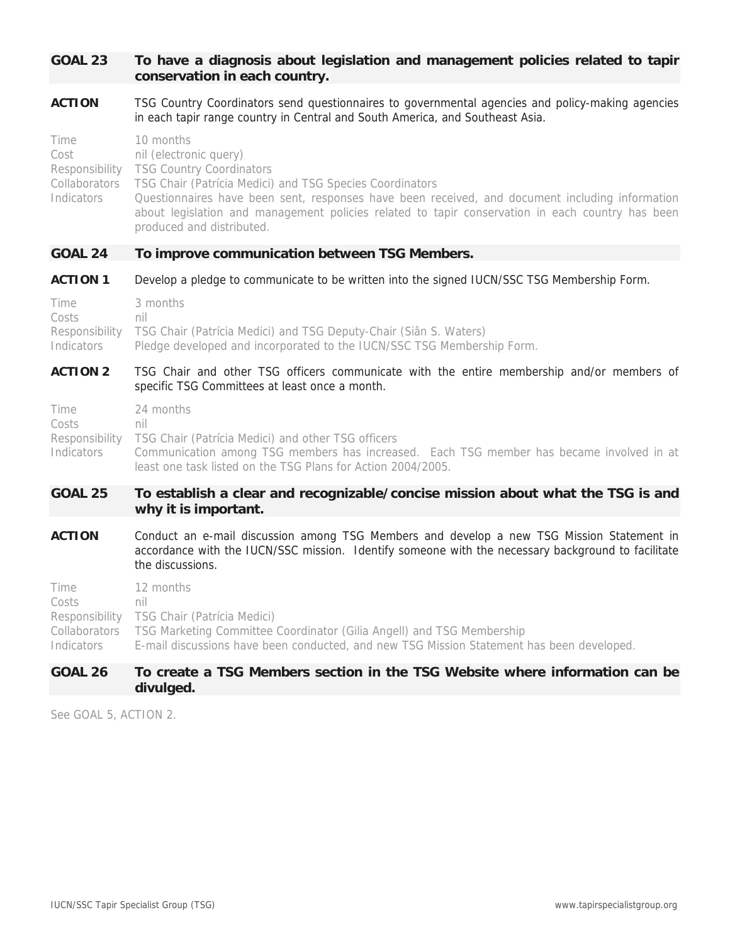# **GOAL 23 To have a diagnosis about legislation and management policies related to tapir conservation in each country.**

**ACTION** TSG Country Coordinators send questionnaires to governmental agencies and policy-making agencies in each tapir range country in Central and South America, and Southeast Asia.

| Time       | 10 months                                                                                        |
|------------|--------------------------------------------------------------------------------------------------|
| Cost       | nil (electronic query)                                                                           |
|            | Responsibility TSG Country Coordinators                                                          |
|            | Collaborators  TSG Chair (Patrícia Medici) and TSG Species Coordinators                          |
| Indicators | Questionnaires have been sent, responses have been received, and document including information  |
|            | about legislation and management policies related to tapir conservation in each country has been |
|            | produced and distributed.                                                                        |

#### **GOAL 24 To improve communication between TSG Members.**

**ACTION 1** Develop a pledge to communicate to be written into the signed IUCN/SSC TSG Membership Form.

| <b>Time</b> | 3 months                                                                         |
|-------------|----------------------------------------------------------------------------------|
| Costs       | nil                                                                              |
|             | Responsibility TSG Chair (Patrícia Medici) and TSG Deputy-Chair (Siân S. Waters) |
| Indicators  | Pledge developed and incorporated to the IUCN/SSC TSG Membership Form.           |

#### **ACTION 2** TSG Chair and other TSG officers communicate with the entire membership and/or members of specific TSG Committees at least once a month.

| Time       | 24 months                                                                                |
|------------|------------------------------------------------------------------------------------------|
| Costs      | nil                                                                                      |
|            | Responsibility TSG Chair (Patrícia Medici) and other TSG officers                        |
| Indicators | Communication among TSG members has increased. Each TSG member has became involved in at |
|            | least one task listed on the TSG Plans for Action 2004/2005.                             |

#### **GOAL 25 To establish a clear and recognizable/concise mission about what the TSG is and why it is important.**

**ACTION** Conduct an e-mail discussion among TSG Members and develop a new TSG Mission Statement in accordance with the IUCN/SSC mission. Identify someone with the necessary background to facilitate the discussions.

| Time       | 12 months                                                                                 |
|------------|-------------------------------------------------------------------------------------------|
| Costs      | nıl                                                                                       |
|            | Responsibility TSG Chair (Patrícia Medici)                                                |
|            | Collaborators TSG Marketing Committee Coordinator (Gilia Angell) and TSG Membership       |
| Indicators | E-mail discussions have been conducted, and new TSG Mission Statement has been developed. |
|            |                                                                                           |

# **GOAL 26 To create a TSG Members section in the TSG Website where information can be divulged.**

See GOAL 5, ACTION 2.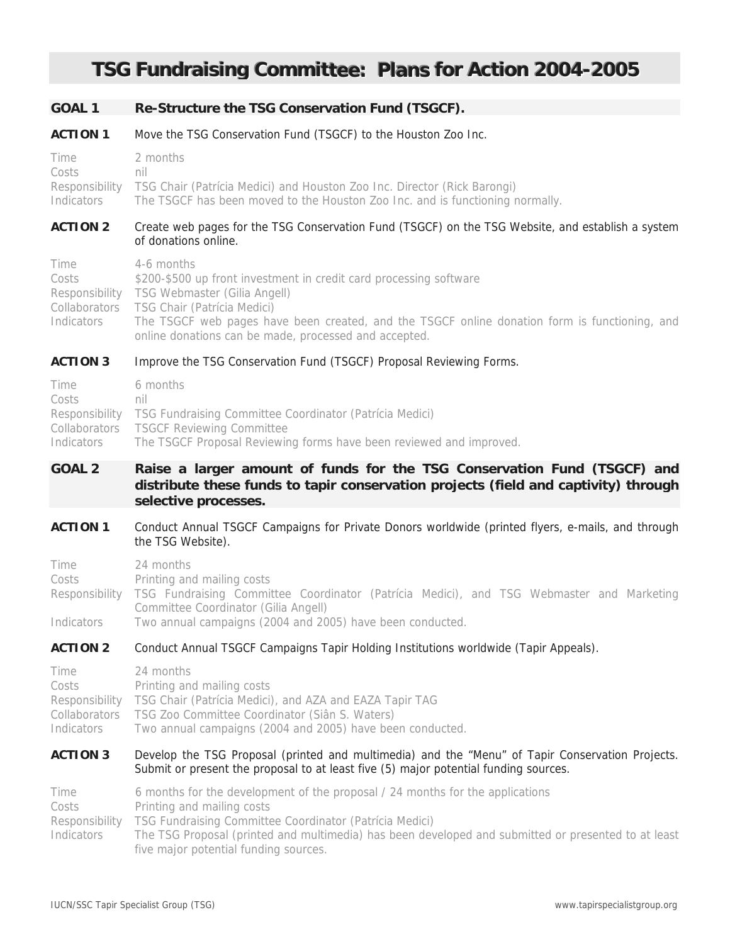# **TSG Fundraising Committee: Plans for Action 2004-2005**

#### **GOAL 1 Re-Structure the TSG Conservation Fund (TSGCF).**

#### **ACTION 1** Move the TSG Conservation Fund (TSGCF) to the Houston Zoo Inc.

Time 2 months Costs nil Responsibility TSG Chair (Patrícia Medici) and Houston Zoo Inc. Director (Rick Barongi) Indicators The TSGCF has been moved to the Houston Zoo Inc. and is functioning normally.

#### **ACTION 2** Create web pages for the TSG Conservation Fund (TSGCF) on the TSG Website, and establish a system of donations online.

| Time       | 4-6 months                                                                                    |
|------------|-----------------------------------------------------------------------------------------------|
| Costs      | \$200-\$500 up front investment in credit card processing software                            |
|            | Responsibility TSG Webmaster (Gilia Angell)                                                   |
|            | Collaborators  TSG Chair (Patrícia Medici)                                                    |
| Indicators | The TSGCF web pages have been created, and the TSGCF online donation form is functioning, and |
|            | online donations can be made, processed and accepted.                                         |

#### **ACTION 3** Improve the TSG Conservation Fund (TSGCF) Proposal Reviewing Forms.

| Time       | 6 months                                                               |
|------------|------------------------------------------------------------------------|
| Costs      | nil                                                                    |
|            | Responsibility TSG Fundraising Committee Coordinator (Patricia Medici) |
|            | Collaborators TSGCF Reviewing Committee                                |
| Indicators | The TSGCF Proposal Reviewing forms have been reviewed and improved.    |

# **GOAL 2 Raise a larger amount of funds for the TSG Conservation Fund (TSGCF) and distribute these funds to tapir conservation projects (field and captivity) through selective processes.**

**ACTION 1** Conduct Annual TSGCF Campaigns for Private Donors worldwide (printed flyers, e-mails, and through the TSG Website).

| Time              | 24 months                                                                                               |
|-------------------|---------------------------------------------------------------------------------------------------------|
| Costs             | Printing and mailing costs                                                                              |
|                   | Responsibility TSG Fundraising Committee Coordinator (Patrícia Medici), and TSG Webmaster and Marketing |
|                   | Committee Coordinator (Gilia Angell)                                                                    |
| <b>Indicators</b> | Two annual campaigns (2004 and 2005) have been conducted.                                               |

#### **ACTION 2** Conduct Annual TSGCF Campaigns Tapir Holding Institutions worldwide (Tapir Appeals).

| Time       | 24 months                                                              |
|------------|------------------------------------------------------------------------|
| Costs      | Printing and mailing costs                                             |
|            | Responsibility TSG Chair (Patrícia Medici), and AZA and EAZA Tapir TAG |
|            | Collaborators TSG Zoo Committee Coordinator (Siân S. Waters)           |
| Indicators | Two annual campaigns (2004 and 2005) have been conducted.              |

#### **ACTION 3** Develop the TSG Proposal (printed and multimedia) and the "Menu" of Tapir Conservation Projects. Submit or present the proposal to at least five (5) major potential funding sources.

| Time           | 6 months for the development of the proposal / 24 months for the applications                       |
|----------------|-----------------------------------------------------------------------------------------------------|
| Costs          | Printing and mailing costs                                                                          |
| Responsibility | TSG Fundraising Committee Coordinator (Patrícia Medici)                                             |
| Indicators     | The TSG Proposal (printed and multimedia) has been developed and submitted or presented to at least |
|                | five major potential funding sources.                                                               |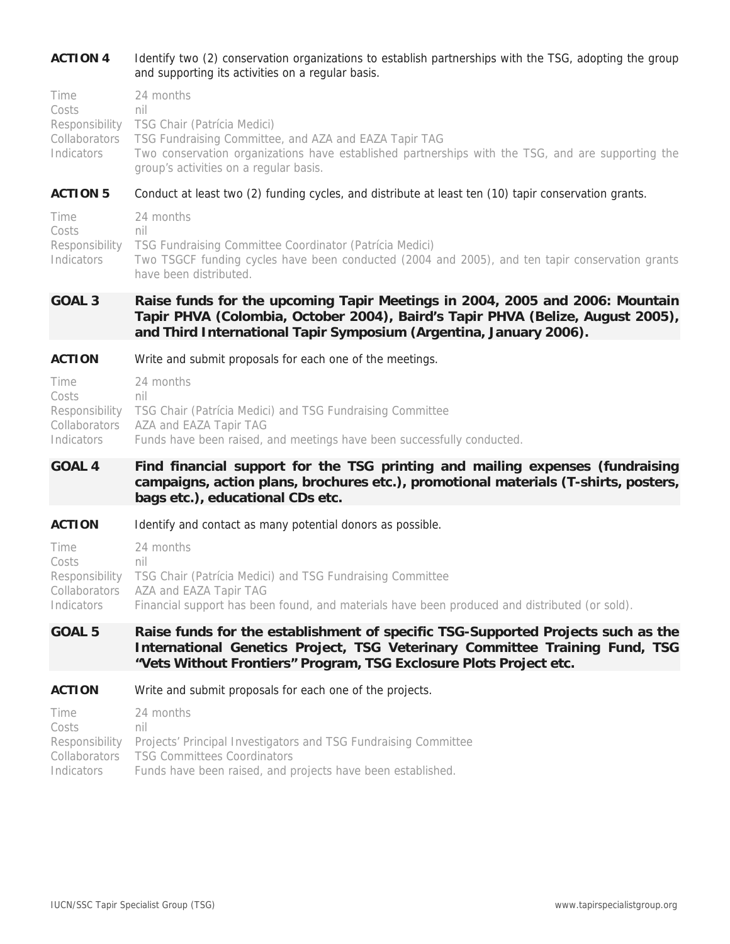# **ACTION 4** Identify two (2) conservation organizations to establish partnerships with the TSG, adopting the group and supporting its activities on a regular basis.

| Time       | 24 months                                                                                         |
|------------|---------------------------------------------------------------------------------------------------|
| Costs      | nil                                                                                               |
|            | Responsibility TSG Chair (Patrícia Medici)                                                        |
|            | Collaborators  TSG Fundraising Committee, and AZA and EAZA Tapir TAG                              |
| Indicators | Two conservation organizations have established partnerships with the TSG, and are supporting the |
|            | group's activities on a regular basis.                                                            |

#### **ACTION 5** Conduct at least two (2) funding cycles, and distribute at least ten (10) tapir conservation grants.

| Time       | 24 months                                                                                       |
|------------|-------------------------------------------------------------------------------------------------|
| Costs      | nil                                                                                             |
|            | Responsibility TSG Fundraising Committee Coordinator (Patrícia Medici)                          |
| Indicators | Two TSGCF funding cycles have been conducted (2004 and 2005), and ten tapir conservation grants |
|            | have been distributed.                                                                          |

# **GOAL 3 Raise funds for the upcoming Tapir Meetings in 2004, 2005 and 2006: Mountain Tapir PHVA (Colombia, October 2004), Baird's Tapir PHVA (Belize, August 2005), and Third International Tapir Symposium (Argentina, January 2006).**

#### **ACTION** Write and submit proposals for each one of the meetings.

| Time       | 24 months                                                                |
|------------|--------------------------------------------------------------------------|
| Costs      | nil                                                                      |
|            | Responsibility TSG Chair (Patrícia Medici) and TSG Fundraising Committee |
|            | Collaborators AZA and EAZA Tapir TAG                                     |
| Indicators | Funds have been raised, and meetings have been successfully conducted.   |

# **GOAL 4 Find financial support for the TSG printing and mailing expenses (fundraising campaigns, action plans, brochures etc.), promotional materials (T-shirts, posters, bags etc.), educational CDs etc.**

#### **ACTION** Identify and contact as many potential donors as possible.

| Time       | 24 months                                                                                     |
|------------|-----------------------------------------------------------------------------------------------|
| Costs      | nıl                                                                                           |
|            | Responsibility TSG Chair (Patrícia Medici) and TSG Fundraising Committee                      |
|            | Collaborators AZA and EAZA Tapir TAG                                                          |
| Indicators | Financial support has been found, and materials have been produced and distributed (or sold). |

# **GOAL 5 Raise funds for the establishment of specific TSG-Supported Projects such as the International Genetics Project, TSG Veterinary Committee Training Fund, TSG "Vets Without Frontiers" Program, TSG Exclosure Plots Project etc.**

#### **ACTION** Write and submit proposals for each one of the projects.

| Time       | 24 months                                                                      |
|------------|--------------------------------------------------------------------------------|
| Costs      | nil                                                                            |
|            | Responsibility Projects' Principal Investigators and TSG Fundraising Committee |
|            | Collaborators TSG Committees Coordinators                                      |
| Indicators | Funds have been raised, and projects have been established.                    |